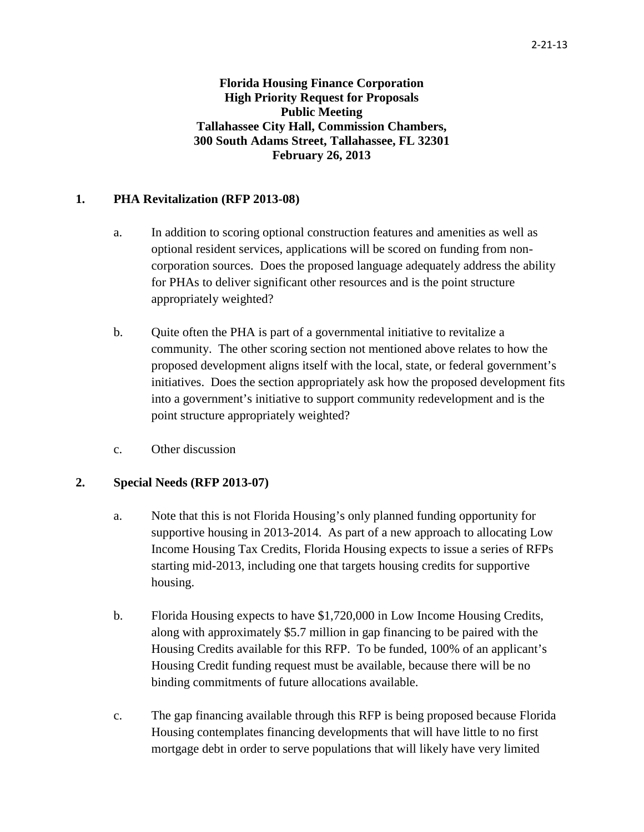**Florida Housing Finance Corporation High Priority Request for Proposals Public Meeting Tallahassee City Hall, Commission Chambers, 300 South Adams Street, Tallahassee, FL 32301 February 26, 2013**

## **1. PHA Revitalization (RFP 2013-08)**

- a. In addition to scoring optional construction features and amenities as well as optional resident services, applications will be scored on funding from noncorporation sources. Does the proposed language adequately address the ability for PHAs to deliver significant other resources and is the point structure appropriately weighted?
- b. Quite often the PHA is part of a governmental initiative to revitalize a community. The other scoring section not mentioned above relates to how the proposed development aligns itself with the local, state, or federal government's initiatives. Does the section appropriately ask how the proposed development fits into a government's initiative to support community redevelopment and is the point structure appropriately weighted?
- c. Other discussion

## **2. Special Needs (RFP 2013-07)**

- a. Note that this is not Florida Housing's only planned funding opportunity for supportive housing in 2013-2014. As part of a new approach to allocating Low Income Housing Tax Credits, Florida Housing expects to issue a series of RFPs starting mid-2013, including one that targets housing credits for supportive housing.
- b. Florida Housing expects to have \$1,720,000 in Low Income Housing Credits, along with approximately \$5.7 million in gap financing to be paired with the Housing Credits available for this RFP. To be funded, 100% of an applicant's Housing Credit funding request must be available, because there will be no binding commitments of future allocations available.
- c. The gap financing available through this RFP is being proposed because Florida Housing contemplates financing developments that will have little to no first mortgage debt in order to serve populations that will likely have very limited